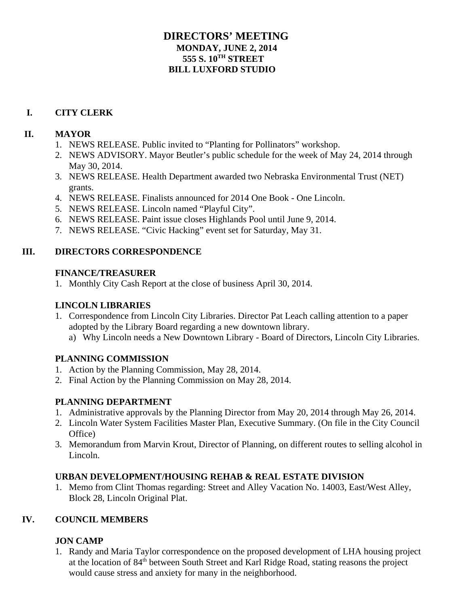## **DIRECTORS' MEETING MONDAY, JUNE 2, 2014 555 S. 10TH STREET BILL LUXFORD STUDIO**

## **I. CITY CLERK**

#### **II. MAYOR**

- 1. NEWS RELEASE. Public invited to "Planting for Pollinators" workshop.
- 2. NEWS ADVISORY. Mayor Beutler's public schedule for the week of May 24, 2014 through May 30, 2014.
- 3. NEWS RELEASE. Health Department awarded two Nebraska Environmental Trust (NET) grants.
- 4. NEWS RELEASE. Finalists announced for 2014 One Book One Lincoln.
- 5. NEWS RELEASE. Lincoln named "Playful City".
- 6. NEWS RELEASE. Paint issue closes Highlands Pool until June 9, 2014.
- 7. NEWS RELEASE. "Civic Hacking" event set for Saturday, May 31.

#### **III. DIRECTORS CORRESPONDENCE**

#### **FINANCE/TREASURER**

1. Monthly City Cash Report at the close of business April 30, 2014.

#### **LINCOLN LIBRARIES**

- 1. Correspondence from Lincoln City Libraries. Director Pat Leach calling attention to a paper adopted by the Library Board regarding a new downtown library.
	- a) Why Lincoln needs a New Downtown Library Board of Directors, Lincoln City Libraries.

## **PLANNING COMMISSION**

- 1. Action by the Planning Commission, May 28, 2014.
- 2. Final Action by the Planning Commission on May 28, 2014.

## **PLANNING DEPARTMENT**

- 1. Administrative approvals by the Planning Director from May 20, 2014 through May 26, 2014.
- 2. Lincoln Water System Facilities Master Plan, Executive Summary. (On file in the City Council Office)
- 3. Memorandum from Marvin Krout, Director of Planning, on different routes to selling alcohol in Lincoln.

## **URBAN DEVELOPMENT/HOUSING REHAB & REAL ESTATE DIVISION**

1. Memo from Clint Thomas regarding: Street and Alley Vacation No. 14003, East/West Alley, Block 28, Lincoln Original Plat.

## **IV. COUNCIL MEMBERS**

## **JON CAMP**

1. Randy and Maria Taylor correspondence on the proposed development of LHA housing project at the location of 84th between South Street and Karl Ridge Road, stating reasons the project would cause stress and anxiety for many in the neighborhood.